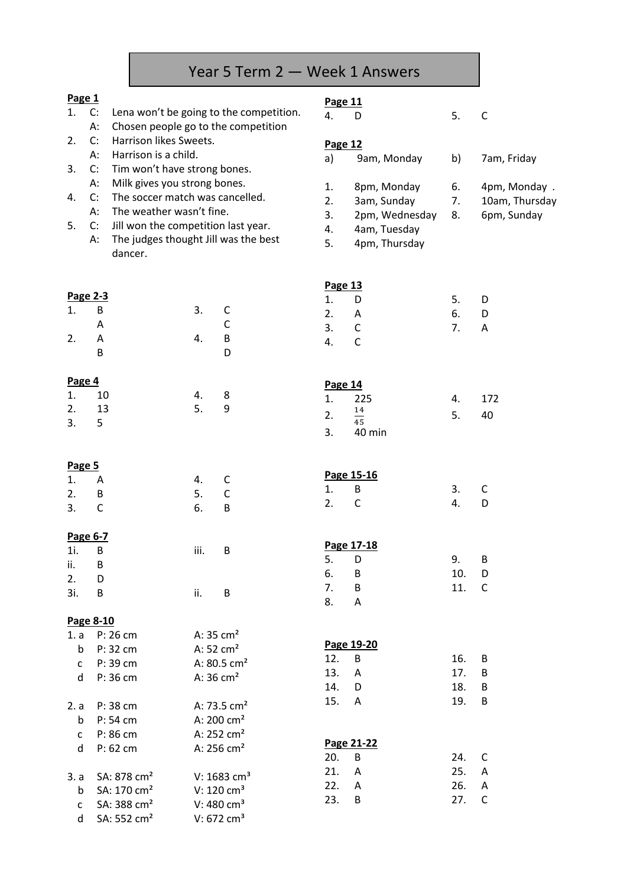# Year 5 Term 2 — Week 1 Answers

#### **Page 1**

3. 5

- 1. C: Lena won't be going to the competition.
- A: Chosen people go to the competition
- 2. C: Harrison likes Sweets. A: Harrison is a child.
- 3. C: Tim won't have strong bones.
	- A: Milk gives you strong bones.
- 4. C: The soccer match was cancelled. A: The weather wasn't fine.
- 5. C: Jill won the competition last year.
	- A: The judges thought Jill was the best dancer.

#### **Page 11**

4. D 5. C

#### **Page 12**

| a) | 9am, Monday | 7am, Friday |
|----|-------------|-------------|
|    |             |             |

- 1. 8pm, Monday 6.
- 2. 3am, Sunday 7. 10am, Thursday
- 3. 2pm, Wednesday 8. 6pm, Sunday
- 4. 4am, Tuesday
- 5. 4pm, Thursday

|        |          |    |   | Page 13            |    |           |
|--------|----------|----|---|--------------------|----|-----------|
|        | Page 2-3 |    |   | D<br>1.            | 5. | D         |
| 1.     | B        | 3. | C | 2.<br>A            | 6. | D         |
|        | A        |    | Ć | 3.<br>C            | 7. | Α         |
| 2.     | A        | 4. | B | C<br>4.            |    |           |
|        | B        |    | D |                    |    |           |
| Page 4 |          |    |   | Page 14            |    |           |
| 1.     | 10       | 4. | 8 | 225<br>1.          | 4. | 172       |
| 2.     | 13       | 5. | 9 | 14<br><sup>-</sup> | п  | $\Lambda$ |

| ຳ  | 14<br>45 | ↖ | 40 |
|----|----------|---|----|
| ્ર | 40 min   |   |    |

| Page 5             |            |                  |        |                               |    |                   |
|--------------------|------------|------------------|--------|-------------------------------|----|-------------------|
| 1. A<br>2. B<br>3. |            | 4. C<br>5.<br>6. | C<br>B | Page 15-16<br>1.<br>- B<br>2. | 3. | $\mathsf{C}$<br>D |
|                    | Page $6-7$ |                  |        |                               |    |                   |

| $\sim$ |          |      |   |                      |            |     |                |
|--------|----------|------|---|----------------------|------------|-----|----------------|
| 1i. B  |          | iii. | B |                      | Page 17-18 |     |                |
| ii.    | <b>B</b> |      |   | 5. D                 |            | 9.  | B              |
| 2.     | D D      |      |   | 6. B                 |            | 10. | $\Box$         |
| -3i.   | B        | ii.  | B | 7.                   | B          | 11. | $\overline{C}$ |
|        |          |      |   | $\sim$ $\sim$ $\sim$ |            |     |                |

8. A

|                                | Page 8-10                                                                         |                                                                                                |                                                |                   |             |
|--------------------------------|-----------------------------------------------------------------------------------|------------------------------------------------------------------------------------------------|------------------------------------------------|-------------------|-------------|
| 1. a<br>b<br>$\mathsf{C}$<br>d | $P: 26$ cm<br>P: 32 cm<br>P: 39 cm<br>P: 36 cm                                    | A: $35 \text{ cm}^2$<br>A: $52 \text{ cm}^2$<br>A: $80.5 \text{ cm}^2$<br>A: $36 \text{ cm}^2$ | Page 19-20<br>12.<br>B<br>13.<br>A<br>14.<br>D | 16.<br>17.<br>18. | B<br>B<br>B |
| 2. a<br>b<br>$\mathsf{C}$<br>d | P: 38 cm<br>P: 54 cm<br>P: 86 cm<br>$P: 62$ cm                                    | A: 73.5 $cm2$<br>A: $200 \text{ cm}^2$<br>A: $252 \text{ cm}^2$<br>A: $256$ cm <sup>2</sup>    | 15.<br>$\mathsf{A}$<br>Page 21-22<br>20.<br>B  | 19.<br>24.        | B<br>C      |
| $\mathsf b$<br>$\mathsf{C}$    | 3. a $SA: 878 \text{ cm}^2$<br>SA: 170 cm <sup>2</sup><br>SA: 388 cm <sup>2</sup> | V: $1683$ cm <sup>3</sup><br>V: $120 \text{ cm}^3$<br>V: 480 $cm3$                             | 21.<br>A<br>22.<br>A<br>23.<br>B               | 25.<br>26.<br>27. | A<br>A<br>C |

d SA:  $552 \text{ cm}^2$  V:  $672 \text{ cm}^3$ 

| 7am, Fridav |  |
|-------------|--|
| 4pm, Monday |  |

- -